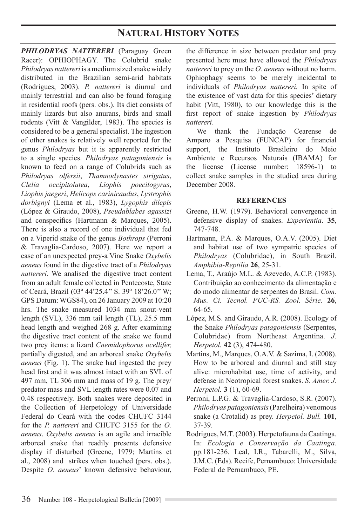## **NATURAL HISTORY NOTES**

**PHILODRYAS NATTERERI** (Paraguay Green Racer): OPHIOPHAGY. The Colubrid snake *Philodryas nattereri* is a medium sized snake widely distributed in the Brazilian semi-arid habitats (Rodrigues, 2003). *P. nattereri* is diurnal and mainly terrestrial and can also be found foraging in residential roofs (pers. obs.). Its diet consists of mainly lizards but also anurans, birds and small rodents (Vitt & Vangilder, 1983). The species is considered to be a general specialist. The ingestion of other snakes is relatively well reported for the genus *Philodryas* but it is apparently restricted to a single species. *Philodryas patagoniensis* is known to feed on a range of Colubrids such as *Philodryas olfersii*, *Thamnodynastes strigatus*, *Clelia occipitolutea*, *Liophis poecilogyrus*, *Liophis jaegeri*, *Helicops carinicaudus*, *Lystrophis dorbignyi* (Lema et al., 1983), *Lygophis dilepis* (López & Giraudo, 2008), *Pseudablabes agassizi* and conspecifics (Hartmann & Marques, 2005). There is also a record of one individual that fed on a Viperid snake of the genus *Bothrops* (Perroni & Travaglia-Cardoso, 2007). Here we report a case of an unexpected prey-a Vine Snake *Oxybelis aeneus* found in the digestive tract of a *Philodryas nattereri*. We analised the digestive tract content from an adult female collected in Pentecoste, State of Ceará, Brazil (03º 44'25.4'' S. 39º 18'26.0'' W; GPS Datum: WGS84), on 26 January 2009 at 10:20 hrs. The snake measured 1034 mm snout-vent length (SVL), 336 mm tail length (TL), 25.5 mm head length and weighed 268 g. After examining the digestive tract content of the snake we found two prey items: a lizard *Cnemidophorus ocellifer,* partially digested, and an arboreal snake *Oxybelis aeneus* (Fig. 1). The snake had ingested the prey head first and it was almost intact with an SVL of 497 mm, TL 306 mm and mass of 19 g. The prey/ predator mass and SVL length rates were 0.07 and 0.48 respectively. Both snakes were deposited in the Collection of Herpetology of Universidade Federal do Ceará with the codes CHUFC 3144 for the *P. nattereri* and CHUFC 3155 for the *O. aeneus*. *Oxybelis aeneus* is an agile and irracible arboreal snake that readily presents defensive display if disturbed (Greene, 1979; Martins et al., 2008) and strikes when touched (pers. obs.). Despite *O. aeneus*' known defensive behaviour,

the difference in size between predator and prey presented here must have allowed the *Philodryas nattereri* to prey on the *O. aeneus* without no harm. Ophiophagy seems to be merely incidental to individuals of *Philodryas nattereri.* In spite of the existence of vast data for this species' dietary habit (Vitt, 1980), to our knowledge this is the first report of snake ingestion by *Philodryas nattereri*.

We thank the Fundação Cearense de Amparo a Pesquisa (FUNCAP) for financial support, the Instituto Brasileiro do Meio Ambiente e Recursos Naturais (IBAMA) for the license (License number: 18596-1) to collect snake samples in the studied area during December 2008.

## **REFERENCES**

- Greene, H.W. (1979). Behavioral convergence in defensive display of snakes. *Experientia*. **35**, 747-748.
- Hartmann, P.A. & Marques, O.A.V. (2005). Diet and habitat use of two sympatric species of *Philodryas* (Colubridae), in South Brazil. *Amphibia-Reptilia* **26**, 25-31.
- Lema, T., Araújo M.L. & Azevedo, A.C.P. (1983). Contribuição ao conhecimento da alimentação e do modo alimentar de serpentes do Brasil. *Com. Mus. Ci. Tecnol. PUC-RS. Zool. Série.* **26**, 64-65.
- López, M.S. and Giraudo, A.R. (2008). Ecology of the Snake *Philodryas patagoniensis* (Serpentes, Colubridae) from Northeast Argentina. *J. Herpetol.* **42** (3), 474-480.
- Martins, M., Marques, O.A.V. & Sazima, I. (2008). How to be arboreal and diurnal and still stay alive: microhabitat use, time of activity, and defense in Neotropical forest snakes. *S. Amer. J. Herpetol.* **3** (1), 60-69.
- Perroni, L.P.G. & Travaglia-Cardoso, S.R. (2007). *Philodryas patagoniensis* (Parelheira) venomous snake (a Crotalid) as prey. *Herpetol. Bull.* **101**, 37-39.
- Rodrigues, M.T. (2003). Herpetofauna da Caatinga. In: *Ecologia e Conservação da Caatinga.* pp.181-236. Leal, I.R., Tabarelli, M., Silva, J.M.C. (Eds). Recife, Pernambuco: Universidade Federal de Pernambuco, PE.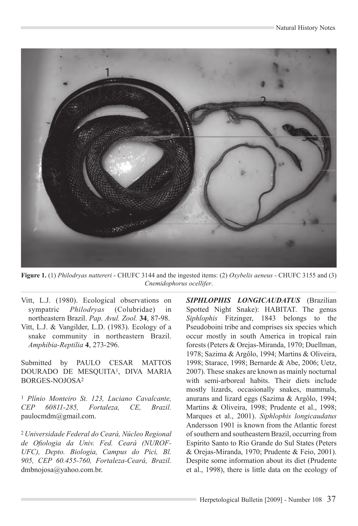

**Figure 1.** (1) *Philodryas nattereri* - CHUFC 3144 and the ingested items: (2) *Oxybelis aeneus* - CHUFC 3155 and (3) *Cnemidophorus ocellifer*.

- Vitt, L.J. (1980). Ecological observations on sympatric *Philodryas* (Colubridae) in northeastern Brazil. *Pap. Avul. Zool.* **34**, 87-98. Vitt, L.J. & Vangilder, L.D. (1983). Ecology of a
- snake community in northeastern Brazil. *Amphibia-Reptilia* **4**, 273-296.

Submitted by PAULO CESAR MATTOS Dourado de MESQUITA1, Diva Maria BORGES-NOJOSA2

<sup>1</sup> *Plínio Monteiro St. 123, Luciano Cavalcante, CEP 60811-285, Fortaleza, CE, Brazil.* paulocmdm@gmail.com.

<sup>2</sup>*Universidade Federal do Ceará, Núcleo Regional de Ofiologia da Univ. Fed. Ceará (NUROF-UFC), Depto. Biologia, Campus do Pici, Bl. 905, CEP 60.455-760, Fortaleza-Ceará, Brazil.*  dmbnojosa@yahoo.com.br.

*Siphlophis longicaudatus* (Brazilian Spotted Night Snake): HABITAT. The genus *Siphlophis* Fitzinger, 1843 belongs to the Pseudoboini tribe and comprises six species which occur mostly in south America in tropical rain forests (Peters & Orejas-Miranda, 1970; Duellman, 1978; Sazima & Argôlo, 1994; Martins & Oliveira, 1998; Starace, 1998; Bernarde & Abe, 2006; Uetz, 2007). These snakes are known as mainly nocturnal with semi-arboreal habits. Their diets include mostly lizards, occasionally snakes, mammals, anurans and lizard eggs (Sazima & Argôlo, 1994; Martins & Oliveira, 1998; Prudente et al., 1998; Marques et al., 2001). *Siphlophis longicaudatus* Andersson 1901 is known from the Atlantic forest of southern and southeastern Brazil, occurring from Espírito Santo to Rio Grande do Sul States (Peters & Orejas-Miranda, 1970; Prudente & Feio, 2001). Despite some information about its diet (Prudente et al., 1998), there is little data on the ecology of